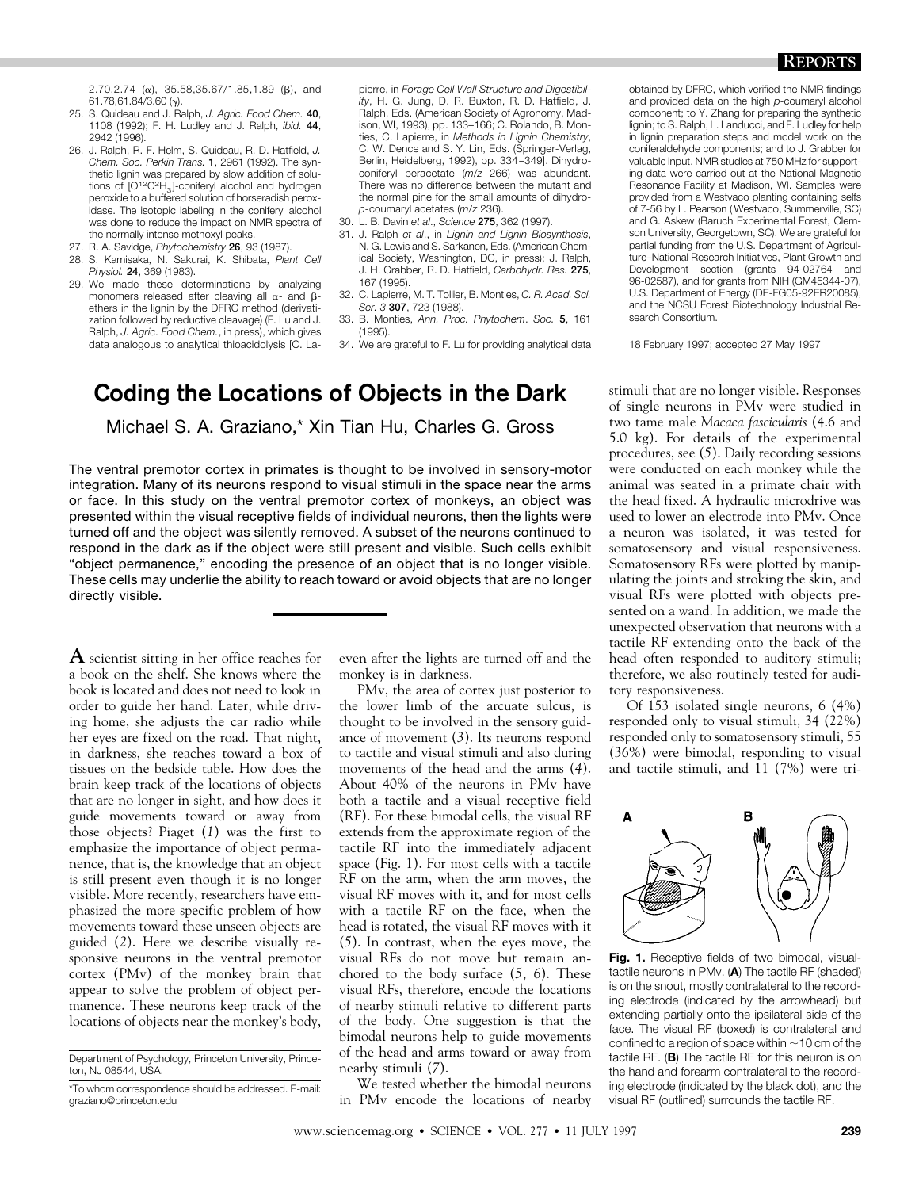2.70,2.74 ( $\alpha$ ), 35.58,35.67/1.85,1.89 ( $\beta$ ), and 61.78,61.84/3.60 (g).

- 25. S. Quideau and J. Ralph, *J. Agric. Food Chem.* 40, 1108 (1992); F. H. Ludley and J. Ralph, *ibid.* 44, 2942 (1996).
- 26. J. Ralph, R. F. Helm, S. Quideau, R. D. Hatfield, *J. Chem. Soc. Perkin Trans.* 1, 2961 (1992). The synthetic lignin was prepared by slow addition of solutions of  $[O^{12}C^2H_3]$ -coniferyl alcohol and hydrogen peroxide to a buffered solution of horseradish peroxidase. The isotopic labeling in the coniferyl alcohol was done to reduce the impact on NMR spectra of the normally intense methoxyl peaks.
- 27. R. A. Savidge, *Phytochemistry* 26, 93 (1987).
- 28. S. Kamisaka, N. Sakurai, K. Shibata, *Plant Cell Physiol.* 24, 369 (1983).
- 29. We made these determinations by analyzing monomers released after cleaving all  $\alpha$ - and  $\beta$ ethers in the lignin by the DFRC method (derivatization followed by reductive cleavage) (F. Lu and J. Ralph, *J. Agric. Food Chem.*, in press), which gives data analogous to analytical thioacidolysis [C. La-

pierre, in *Forage Cell Wall Structure and Digestibility*, H. G. Jung, D. R. Buxton, R. D. Hatfield, J. Ralph, Eds. (American Society of Agronomy, Madison, WI, 1993), pp. 133–166; C. Rolando, B. Monties, C. Lapierre, in *Methods in Lignin Chemistry*, C. W. Dence and S. Y. Lin, Eds. (Springer-Verlag, Berlin, Heidelberg, 1992), pp. 334–349]. Dihydroconiferyl peracetate (*m*/*z* 266) was abundant. There was no difference between the mutant and the normal pine for the small amounts of dihydro*p-*coumaryl acetates (*m*/*z* 236).

- 30. L. B. Davin *et al*., *Science* 275, 362 (1997).
- 31. J. Ralph *et al*., in *Lignin and Lignin Biosynthesis*, N. G. Lewis and S. Sarkanen, Eds. (American Chemical Society, Washington, DC, in press); J. Ralph, J. H. Grabber, R. D. Hatfield, *Carbohydr. Res.* 275, 167 (1995).
- 32. C. Lapierre, M. T. Tollier, B. Monties, *C. R. Acad. Sci. Ser. 3* 307, 723 (1988).
- 33. B. Monties, *Ann. Proc. Phytochem*. *Soc.* 5, 161 (1995).
- 34. We are grateful to F. Lu for providing analytical data

obtained by DFRC, which verified the NMR findings and provided data on the high *p-*coumaryl alcohol component; to Y. Zhang for preparing the synthetic lignin; to S. Ralph, L. Landucci, and F. Ludley for help in lignin preparation steps and model work on the coniferaldehyde components; and to J. Grabber for valuable input. NMR studies at 750 MHz for supporting data were carried out at the National Magnetic Resonance Facility at Madison, WI. Samples were provided from a Westvaco planting containing selfs of 7-56 by L. Pearson ( Westvaco, Summerville, SC) and G. Askew (Baruch Experimental Forest, Clemson University, Georgetown, SC). We are grateful for partial funding from the U.S. Department of Agriculture–National Research Initiatives, Plant Growth and Development section (grants 94-02764 and 96-02587), and for grants from NIH (GM45344-07), U.S. Department of Energy (DE-FG05-92ER20085), and the NCSU Forest Biotechnology Industrial Research Consortium.

18 February 1997; accepted 27 May 1997

## **Coding the Locations of Objects in the Dark**

Michael S. A. Graziano,\* Xin Tian Hu, Charles G. Gross

The ventral premotor cortex in primates is thought to be involved in sensory-motor integration. Many of its neurons respond to visual stimuli in the space near the arms or face. In this study on the ventral premotor cortex of monkeys, an object was presented within the visual receptive fields of individual neurons, then the lights were turned off and the object was silently removed. A subset of the neurons continued to respond in the dark as if the object were still present and visible. Such cells exhibit "object permanence," encoding the presence of an object that is no longer visible. These cells may underlie the ability to reach toward or avoid objects that are no longer directly visible.

**A** scientist sitting in her office reaches for a book on the shelf. She knows where the book is located and does not need to look in order to guide her hand. Later, while driving home, she adjusts the car radio while her eyes are fixed on the road. That night, in darkness, she reaches toward a box of tissues on the bedside table. How does the brain keep track of the locations of objects that are no longer in sight, and how does it guide movements toward or away from those objects? Piaget (*1*) was the first to emphasize the importance of object permanence, that is, the knowledge that an object is still present even though it is no longer visible. More recently, researchers have emphasized the more specific problem of how movements toward these unseen objects are guided (*2*). Here we describe visually responsive neurons in the ventral premotor cortex (PMv) of the monkey brain that appear to solve the problem of object permanence. These neurons keep track of the locations of objects near the monkey's body,

even after the lights are turned off and the monkey is in darkness.

PMv, the area of cortex just posterior to the lower limb of the arcuate sulcus, is thought to be involved in the sensory guidance of movement (*3*). Its neurons respond to tactile and visual stimuli and also during movements of the head and the arms (*4*). About 40% of the neurons in PMv have both a tactile and a visual receptive field (RF). For these bimodal cells, the visual RF extends from the approximate region of the tactile RF into the immediately adjacent space (Fig. 1). For most cells with a tactile RF on the arm, when the arm moves, the visual RF moves with it, and for most cells with a tactile RF on the face, when the head is rotated, the visual RF moves with it (*5*). In contrast, when the eyes move, the visual RFs do not move but remain anchored to the body surface (*5, 6*). These visual RFs, therefore, encode the locations of nearby stimuli relative to different parts of the body. One suggestion is that the bimodal neurons help to guide movements of the head and arms toward or away from nearby stimuli (*7*).

We tested whether the bimodal neurons in PMv encode the locations of nearby stimuli that are no longer visible. Responses of single neurons in PMv were studied in two tame male *Macaca fascicularis* (4.6 and 5.0 kg). For details of the experimental procedures, see (*5*). Daily recording sessions were conducted on each monkey while the animal was seated in a primate chair with the head fixed. A hydraulic microdrive was used to lower an electrode into PMv. Once a neuron was isolated, it was tested for somatosensory and visual responsiveness. Somatosensory RFs were plotted by manipulating the joints and stroking the skin, and visual RFs were plotted with objects presented on a wand. In addition, we made the unexpected observation that neurons with a tactile RF extending onto the back of the head often responded to auditory stimuli; therefore, we also routinely tested for auditory responsiveness.

Of 153 isolated single neurons, 6 (4%) responded only to visual stimuli, 34 (22%) responded only to somatosensory stimuli, 55 (36%) were bimodal, responding to visual and tactile stimuli, and 11 (7%) were tri-



Fig. 1. Receptive fields of two bimodal, visualtactile neurons in PMv. (**A**) The tactile RF (shaded) is on the snout, mostly contralateral to the recording electrode (indicated by the arrowhead) but extending partially onto the ipsilateral side of the face. The visual RF (boxed) is contralateral and confined to a region of space within  $\sim$  10 cm of the tactile RF. (**B**) The tactile RF for this neuron is on the hand and forearm contralateral to the recording electrode (indicated by the black dot), and the visual RF (outlined) surrounds the tactile RF.

Department of Psychology, Princeton University, Princeton, NJ 08544, USA.

<sup>\*</sup>To whom correspondence should be addressed. E-mail: graziano@princeton.edu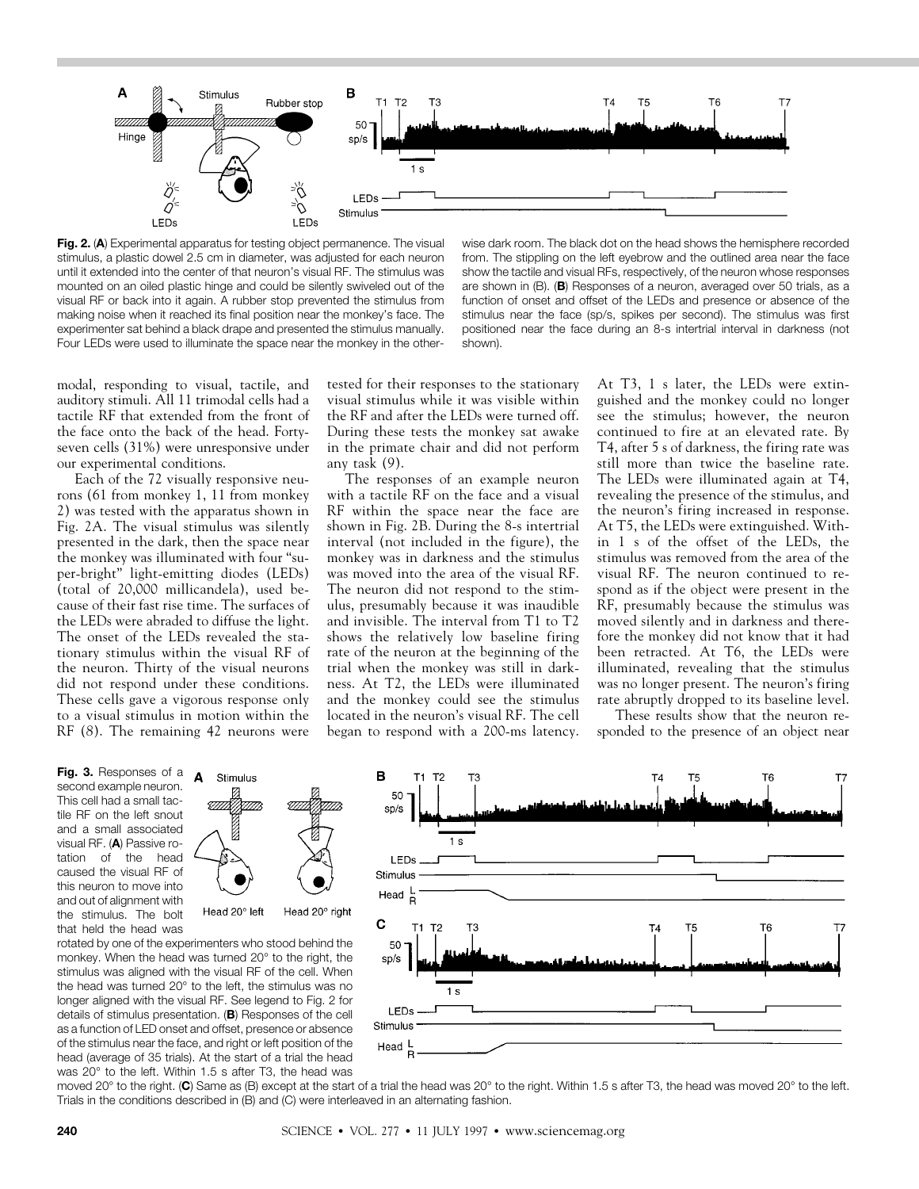

**Fig. 2.** (**A**) Experimental apparatus for testing object permanence. The visual stimulus, a plastic dowel 2.5 cm in diameter, was adjusted for each neuron until it extended into the center of that neuron's visual RF. The stimulus was mounted on an oiled plastic hinge and could be silently swiveled out of the visual RF or back into it again. A rubber stop prevented the stimulus from making noise when it reached its final position near the monkey's face. The experimenter sat behind a black drape and presented the stimulus manually. Four LEDs were used to illuminate the space near the monkey in the other-

wise dark room. The black dot on the head shows the hemisphere recorded from. The stippling on the left eyebrow and the outlined area near the face show the tactile and visual RFs, respectively, of the neuron whose responses are shown in (B). (**B**) Responses of a neuron, averaged over 50 trials, as a function of onset and offset of the LEDs and presence or absence of the stimulus near the face (sp/s, spikes per second). The stimulus was first positioned near the face during an 8-s intertrial interval in darkness (not shown).

modal, responding to visual, tactile, and auditory stimuli. All 11 trimodal cells had a tactile RF that extended from the front of the face onto the back of the head. Fortyseven cells (31%) were unresponsive under our experimental conditions.

Each of the 72 visually responsive neurons (61 from monkey 1, 11 from monkey 2) was tested with the apparatus shown in Fig. 2A. The visual stimulus was silently presented in the dark, then the space near the monkey was illuminated with four "super-bright" light-emitting diodes (LEDs) (total of 20,000 millicandela), used because of their fast rise time. The surfaces of the LEDs were abraded to diffuse the light. The onset of the LEDs revealed the stationary stimulus within the visual RF of the neuron. Thirty of the visual neurons did not respond under these conditions. These cells gave a vigorous response only to a visual stimulus in motion within the RF (*8*). The remaining 42 neurons were tested for their responses to the stationary visual stimulus while it was visible within the RF and after the LEDs were turned off. During these tests the monkey sat awake in the primate chair and did not perform any task (*9*).

The responses of an example neuron with a tactile RF on the face and a visual RF within the space near the face are shown in Fig. 2B. During the 8-s intertrial interval (not included in the figure), the monkey was in darkness and the stimulus was moved into the area of the visual RF. The neuron did not respond to the stimulus, presumably because it was inaudible and invisible. The interval from T1 to T2 shows the relatively low baseline firing rate of the neuron at the beginning of the trial when the monkey was still in darkness. At T2, the LEDs were illuminated and the monkey could see the stimulus located in the neuron's visual RF. The cell began to respond with a 200-ms latency. At T3, 1 s later, the LEDs were extinguished and the monkey could no longer see the stimulus; however, the neuron continued to fire at an elevated rate. By T4, after 5 s of darkness, the firing rate was still more than twice the baseline rate. The LEDs were illuminated again at T4, revealing the presence of the stimulus, and the neuron's firing increased in response. At T5, the LEDs were extinguished. Within 1 s of the offset of the LEDs, the stimulus was removed from the area of the visual RF. The neuron continued to respond as if the object were present in the RF, presumably because the stimulus was moved silently and in darkness and therefore the monkey did not know that it had been retracted. At T6, the LEDs were illuminated, revealing that the stimulus was no longer present. The neuron's firing rate abruptly dropped to its baseline level.

These results show that the neuron responded to the presence of an object near

**Fig. 3.** Responses of a second example neuron. This cell had a small tactile RF on the left snout and a small associated visual RF. (**A**) Passive rotation of the head caused the visual RF of this neuron to move into and out of alignment with the stimulus. The bolt that held the head was



Head 20° right

rotated by one of the experimenters who stood behind the monkey. When the head was turned 20° to the right, the stimulus was aligned with the visual RF of the cell. When the head was turned 20° to the left, the stimulus was no longer aligned with the visual RF. See legend to Fig. 2 for details of stimulus presentation. (**B**) Responses of the cell as a function of LED onset and offset, presence or absence of the stimulus near the face, and right or left position of the head (average of 35 trials). At the start of a trial the head was 20° to the left. Within 1.5 s after T3, the head was



moved 20° to the right. (**C**) Same as (B) except at the start of a trial the head was 20° to the right. Within 1.5 s after T3, the head was moved 20° to the left. Trials in the conditions described in (B) and (C) were interleaved in an alternating fashion.